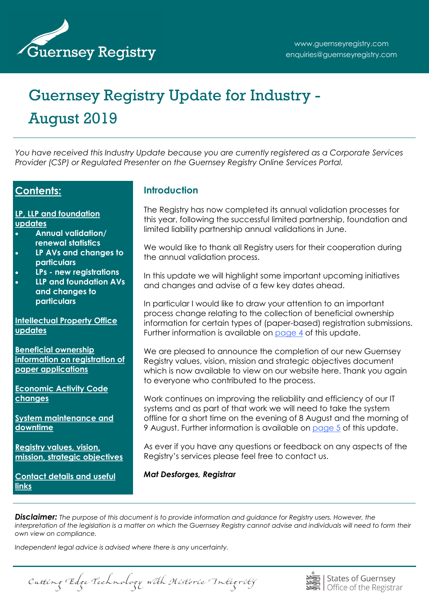

# Guernsey Registry Update for Industry - August 2019

*You have received this Industry Update because you are currently registered as a Corporate Services Provider (CSP) or Regulated Presenter on the Guernsey Registry Online Services Portal.*

### **Contents:**

**[LP, LLP and foundation](#page-1-0)  [updates](#page-1-0)**

- **Annual validation/ renewal statistics**
- **LP AVs and changes to particulars**
- **LPs - new registrations**
- **LLP and foundation AVs and changes to particulars**

**[Intellectual Property Office](#page-2-0)  [updates](#page-2-0)**

**[Beneficial ownership](#page-3-0)  [information on registration of](#page-3-0)  [paper applications](#page-3-0)**

**[Economic Activity Code](#page-4-0)  [changes](#page-4-0)**

**[System maintenance and](#page-4-0)  [downtime](#page-4-0)**

**[Registry values, vision,](#page-5-0)  [mission, strategic objectives](#page-5-0)**

**[Contact details and useful](#page-6-0)  [links](#page-6-0)**

## **Introduction**

The Registry has now completed its annual validation processes for this year, following the successful limited partnership, foundation and limited liability partnership annual validations in June.

We would like to thank all Registry users for their cooperation during the annual validation process.

In this update we will highlight some important upcoming initiatives and changes and advise of a few key dates ahead.

In particular I would like to draw your attention to an important process change relating to the collection of beneficial ownership information for certain types of (paper-based) registration submissions. Further information is available on [page 4](#page-3-0) of this update.

We are pleased to announce the completion of our new Guernsey Registry values, vision, mission and strategic objectives document which is now available to view on our website here. Thank you again to everyone who contributed to the process.

Work continues on improving the reliability and efficiency of our IT systems and as part of that work we will need to take the system offline for a short time on the evening of 8 August and the morning of 9 August. Further information is available on [page 5](#page-4-0) of this update.

As ever if you have any questions or feedback on any aspects of the Registry's services please feel free to contact us.

*Mat Desforges, Registrar* 

*Disclaimer: The purpose of this document is to provide information and guidance for Registry users. However, the interpretation of the legislation is a matter on which the Guernsey Registry cannot advise and individuals will need to form their own view on compliance.* 

*Independent legal advice is advised where there is any uncertainty.* 

Cutting Edge Technology with Historic Integrity

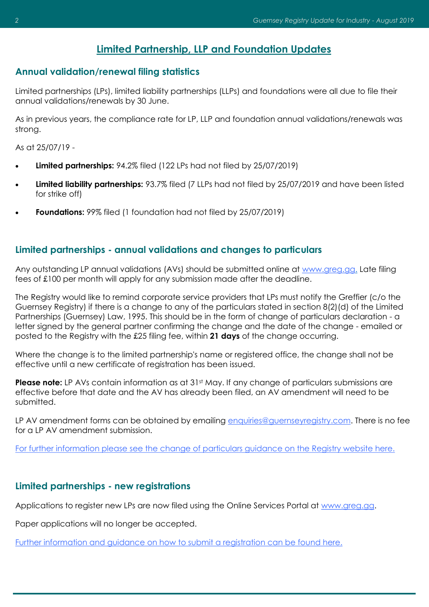# **Limited Partnership, LLP and Foundation Updates**

#### <span id="page-1-0"></span>**Annual validation/renewal filing statistics**

Limited partnerships (LPs), limited liability partnerships (LLPs) and foundations were all due to file their annual validations/renewals by 30 June.

As in previous years, the compliance rate for LP, LLP and foundation annual validations/renewals was strong.

As at 25/07/19 -

- **Limited partnerships:** 94.2% filed (122 LPs had not filed by 25/07/2019)
- **Limited liability partnerships:** 93.7% filed (7 LLPs had not filed by 25/07/2019 and have been listed for strike off)
- **Foundations:** 99% filed (1 foundation had not filed by 25/07/2019)

#### **Limited partnerships - annual validations and changes to particulars**

Any outstanding LP annual validations (AVs) should be submitted online at [www.greg.gg.](http://www.greg.gg) Late filing fees of £100 per month will apply for any submission made after the deadline.

The Registry would like to remind corporate service providers that LPs must notify the Greffier (c/o the Guernsey Registry) if there is a change to any of the particulars stated in section 8(2)(d) of the Limited Partnerships (Guernsey) Law, 1995. This should be in the form of change of particulars declaration - a letter signed by the general partner confirming the change and the date of the change - emailed or posted to the Registry with the £25 filing fee, within **21 days** of the change occurring.

Where the change is to the limited partnership's name or registered office, the change shall not be effective until a new certificate of registration has been issued.

**Please note:** LP AVs contain information as at 31st May. If any change of particulars submissions are effective before that date and the AV has already been filed, an AV amendment will need to be submitted.

LP AV amendment forms can be obtained by emailing [enquiries@guernseyregistry.com.](mailto:enquiries@guernseyregistry.com) There is no fee for a LP AV amendment submission.

[For further information please see the change of particulars guidance on the Registry website here.](http://www.guernseyregistry.com/article/157014/Change-of-Particulars)

#### **Limited partnerships - new registrations**

Applications to register new LPs are now filed using the Online Services Portal at www.greg.gg.

Paper applications will no longer be accepted.

[Further information and guidance on how to submit a registration can be found here.](http://www.guernseyregistry.com/article/157013/LP-Registration)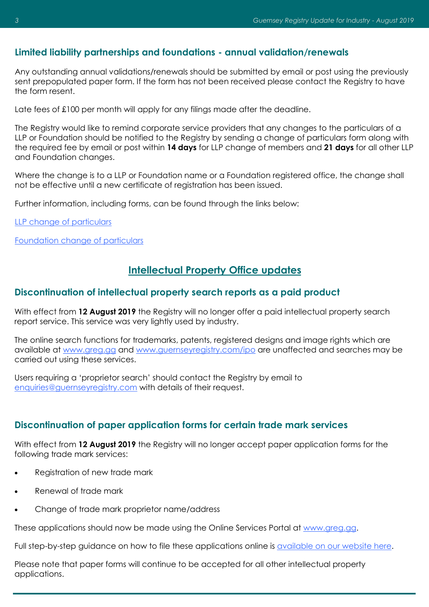### <span id="page-2-0"></span>**Limited liability partnerships and foundations - annual validation/renewals**

Any outstanding annual validations/renewals should be submitted by email or post using the previously sent prepopulated paper form. If the form has not been received please contact the Registry to have the form resent.

Late fees of £100 per month will apply for any filings made after the deadline.

The Registry would like to remind corporate service providers that any changes to the particulars of a LLP or Foundation should be notified to the Registry by sending a change of particulars form along with the required fee by email or post within **14 days** for LLP change of members and **21 days** for all other LLP and Foundation changes.

Where the change is to a LLP or Foundation name or a Foundation registered office, the change shall not be effective until a new certificate of registration has been issued.

Further information, including forms, can be found through the links below:

[LLP change of particulars](http://www.guernseyregistry.com/article/155380/Change-of-Particulars)

[Foundation change of particulars](http://www.guernseyregistry.com/article/155590/Change-of-Particulars)

# **Intellectual Property Office updates**

#### **Discontinuation of intellectual property search reports as a paid product**

With effect from **12 August 2019** the Registry will no longer offer a paid intellectual property search report service. This service was very lightly used by industry.

The online search functions for trademarks, patents, registered designs and image rights which are available at [www.greg.gg](http://www.greg.gg) and [www.guernseyregistry.com/ipo](http://www.guernseyregistry.com/ipo) are unaffected and searches may be carried out using these services.

Users requiring a 'proprietor search' should contact the Registry by email to [enquiries@guernseyregistry.com](mailto:enquiries@guernseyregistry.com) with details of their request.

#### **Discontinuation of paper application forms for certain trade mark services**

With effect from **12 August 2019** the Registry will no longer accept paper application forms for the following trade mark services:

- Registration of new trade mark
- Renewal of trade mark
- Change of trade mark proprietor name/address

These applications should now be made using the Online Services Portal at [www.greg.gg.](http://www.greg.gg/)

Full step-by-step guidance on how to file these applications online is [available on our website here.](http://ipo.guernseyregistry.com/article/5032/Trade-Marks-Guidance-Notes)

Please note that paper forms will continue to be accepted for all other intellectual property applications.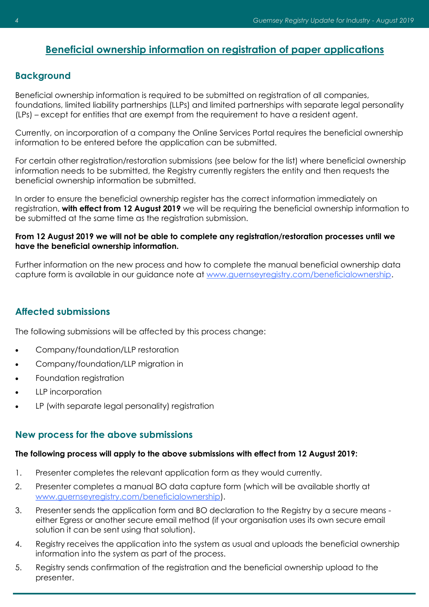# <span id="page-3-0"></span>**Beneficial ownership information on registration of paper applications**

## **Background**

Beneficial ownership information is required to be submitted on registration of all companies, foundations, limited liability partnerships (LLPs) and limited partnerships with separate legal personality (LPs) – except for entities that are exempt from the requirement to have a resident agent.

Currently, on incorporation of a company the Online Services Portal requires the beneficial ownership information to be entered before the application can be submitted.

For certain other registration/restoration submissions (see below for the list) where beneficial ownership information needs to be submitted, the Registry currently registers the entity and then requests the beneficial ownership information be submitted.

In order to ensure the beneficial ownership register has the correct information immediately on registration, **with effect from 12 August 2019** we will be requiring the beneficial ownership information to be submitted at the same time as the registration submission.

#### **From 12 August 2019 we will not be able to complete any registration/restoration processes until we have the beneficial ownership information.**

Further information on the new process and how to complete the manual beneficial ownership data capture form is available in our guidance note at [www.guernseyregistry.com/beneficialownership.](http://www.guernseyregistry.com/beneficialownership)

#### **Affected submissions**

The following submissions will be affected by this process change:

- Company/foundation/LLP restoration
- Company/foundation/LLP migration in
- Foundation registration
- LLP incorporation
- LP (with separate legal personality) registration

#### **New process for the above submissions**

#### **The following process will apply to the above submissions with effect from 12 August 2019:**

- 1. Presenter completes the relevant application form as they would currently.
- 2. Presenter completes a manual BO data capture form (which will be available shortly at [www.guernseyregistry.com/beneficialownership\).](http://www.guernseyregistry.com/beneficialownership)
- 3. Presenter sends the application form and BO declaration to the Registry by a secure means either Egress or another secure email method (if your organisation uses its own secure email solution it can be sent using that solution).
- 4. Registry receives the application into the system as usual and uploads the beneficial ownership information into the system as part of the process.
- 5. Registry sends confirmation of the registration and the beneficial ownership upload to the presenter.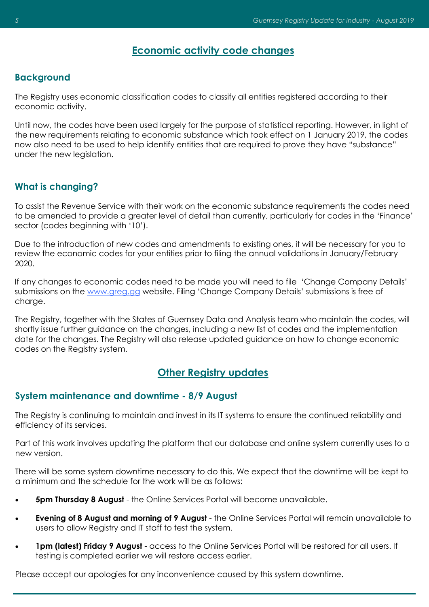## **Economic activity code changes**

## <span id="page-4-0"></span>**Background**

The Registry uses economic classification codes to classify all entities registered according to their economic activity.

Until now, the codes have been used largely for the purpose of statistical reporting. However, in light of the new requirements relating to economic substance which took effect on 1 January 2019, the codes now also need to be used to help identify entities that are required to prove they have "substance" under the new legislation.

## **What is changing?**

To assist the Revenue Service with their work on the economic substance requirements the codes need to be amended to provide a greater level of detail than currently, particularly for codes in the 'Finance' sector (codes beginning with '10').

Due to the introduction of new codes and amendments to existing ones, it will be necessary for you to review the economic codes for your entities prior to filing the annual validations in January/February 2020.

If any changes to economic codes need to be made you will need to file 'Change Company Details' submissions on the [www.greg.gg](http://www.greg.gg/) website. Filing 'Change Company Details' submissions is free of charge.

The Registry, together with the States of Guernsey Data and Analysis team who maintain the codes, will shortly issue further guidance on the changes, including a new list of codes and the implementation date for the changes. The Registry will also release updated guidance on how to change economic codes on the Registry system.

# **Other Registry updates**

#### **System maintenance and downtime - 8/9 August**

The Registry is continuing to maintain and invest in its IT systems to ensure the continued reliability and efficiency of its services.

Part of this work involves updating the platform that our database and online system currently uses to a new version.

There will be some system downtime necessary to do this. We expect that the downtime will be kept to a minimum and the schedule for the work will be as follows:

- **5pm Thursday 8 August** the Online Services Portal will become unavailable.
- **Evening of 8 August and morning of 9 August**  the Online Services Portal will remain unavailable to users to allow Registry and IT staff to test the system.
- **1pm (latest) Friday 9 August**  access to the Online Services Portal will be restored for all users. If testing is completed earlier we will restore access earlier.

Please accept our apologies for any inconvenience caused by this system downtime.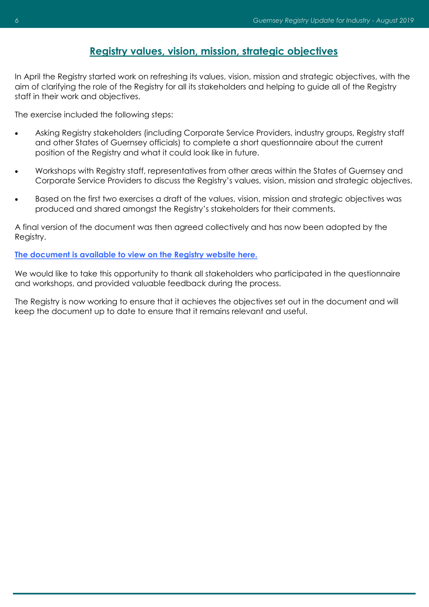# **Registry values, vision, mission, strategic objectives**

<span id="page-5-0"></span>In April the Registry started work on refreshing its values, vision, mission and strategic objectives, with the aim of clarifying the role of the Registry for all its stakeholders and helping to guide all of the Registry staff in their work and objectives.

The exercise included the following steps:

- Asking Registry stakeholders (including Corporate Service Providers, industry groups, Registry staff and other States of Guernsey officials) to complete a short questionnaire about the current position of the Registry and what it could look like in future.
- Workshops with Registry staff, representatives from other areas within the States of Guernsey and Corporate Service Providers to discuss the Registry's values, vision, mission and strategic objectives.
- Based on the first two exercises a draft of the values, vision, mission and strategic objectives was produced and shared amongst the Registry's stakeholders for their comments.

A final version of the document was then agreed collectively and has now been adopted by the Registry.

#### **[The document is available to view on the Registry website here.](http://guernseyregistry.com/article/4032/Values-Vision-Mission-Strategic-Objectives)**

We would like to take this opportunity to thank all stakeholders who participated in the questionnaire and workshops, and provided valuable feedback during the process.

The Registry is now working to ensure that it achieves the objectives set out in the document and will keep the document up to date to ensure that it remains relevant and useful.